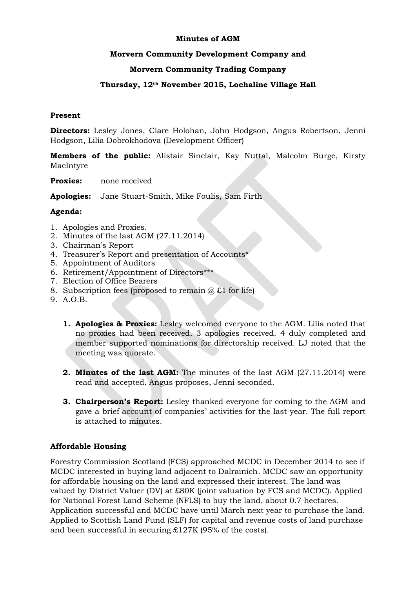#### **Minutes of AGM**

#### **Morvern Community Development Company and**

## **Morvern Community Trading Company**

#### **Thursday, 12th November 2015, Lochaline Village Hall**

#### **Present**

**Directors:** Lesley Jones, Clare Holohan, John Hodgson, Angus Robertson, Jenni Hodgson, Lilia Dobrokhodova (Development Officer)

**Members of the public:** Alistair Sinclair, Kay Nuttal, Malcolm Burge, Kirsty MacIntyre

**Proxies:** none received

**Apologies:** Jane Stuart-Smith, Mike Foulis, Sam Firth

#### **Agenda:**

- 1. Apologies and Proxies.
- 2. Minutes of the last AGM (27.11.2014)
- 3. Chairman's Report
- 4. Treasurer's Report and presentation of Accounts\*
- 5. Appointment of Auditors
- 6. Retirement/Appointment of Directors\*\*\*
- 7. Election of Office Bearers
- 8. Subscription fees (proposed to remain  $(a) \pounds 1$  for life)
- 9. A.O.B.
	- **1. Apologies & Proxies:** Lesley welcomed everyone to the AGM. Lilia noted that no proxies had been received. 3 apologies received. 4 duly completed and member supported nominations for directorship received. LJ noted that the meeting was quorate.
	- **2. Minutes of the last AGM:** The minutes of the last AGM (27.11.2014) were read and accepted. Angus proposes, Jenni seconded.
	- **3. Chairperson's Report:** Lesley thanked everyone for coming to the AGM and gave a brief account of companies' activities for the last year. The full report is attached to minutes.

#### **Affordable Housing**

Forestry Commission Scotland (FCS) approached MCDC in December 2014 to see if MCDC interested in buying land adjacent to Dalrainich. MCDC saw an opportunity for affordable housing on the land and expressed their interest. The land was valued by District Valuer (DV) at £80K (joint valuation by FCS and MCDC). Applied for National Forest Land Scheme (NFLS) to buy the land, about 0.7 hectares. Application successful and MCDC have until March next year to purchase the land. Applied to Scottish Land Fund (SLF) for capital and revenue costs of land purchase and been successful in securing £127K (95% of the costs).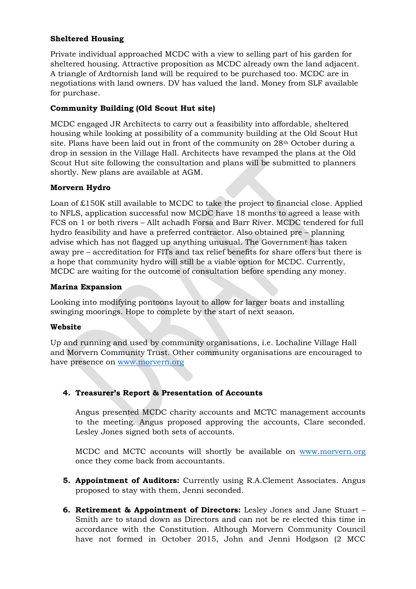# **Sheltered Housing**

Private individual approached MCDC with a view to selling part of his garden for sheltered housing. Attractive proposition as MCDC already own the land adjacent. A triangle of Ardtornish land will be required to be purchased too. MCDC are in negotiations with land owners. DV has valued the land. Money from SLF available for purchase.

## **Community Building (Old Scout Hut site)**

MCDC engaged JR Architects to carry out a feasibility into affordable, sheltered housing while looking at possibility of a community building at the Old Scout Hut site. Plans have been laid out in front of the community on 28th October during a drop in session in the Village Hall. Architects have revamped the plans at the Old Scout Hut site following the consultation and plans will be submitted to planners shortly. New plans are available at AGM.

## **Morvern Hydro**

Loan of £150K still available to MCDC to take the project to financial close. Applied to NFLS, application successful now MCDC have 18 months to agreed a lease with FCS on 1 or both rivers – Allt achadh Forsa and Barr River. MCDC tendered for full hydro feasibility and have a preferred contractor. Also obtained pre – planning advise which has not flagged up anything unusual. The Government has taken away pre – accreditation for FITs and tax relief benefits for share offers but there is a hope that community hydro will still be a viable option for MCDC. Currently, MCDC are waiting for the outcome of consultation before spending any money.

## **Marina Expansion**

Looking into modifying pontoons layout to allow for larger boats and installing swinging moorings. Hope to complete by the start of next season.

## **Website**

Up and running and used by community organisations, i.e. Lochaline Village Hall and Morvern Community Trust. Other community organisations are encouraged to have presence on [www.morvern.org](http://www.morvern.org/)

# **4. Treasurer's Report & Presentation of Accounts**

Angus presented MCDC charity accounts and MCTC management accounts to the meeting. Angus proposed approving the accounts, Clare seconded. Lesley Jones signed both sets of accounts.

MCDC and MCTC accounts will shortly be available on [www.morvern.org](http://www.morvern.org/) once they come back from accountants.

- **5. Appointment of Auditors:** Currently using R.A.Clement Associates. Angus proposed to stay with them, Jenni seconded.
- **6. Retirement & Appointment of Directors:** Lesley Jones and Jane Stuart Smith are to stand down as Directors and can not be re elected this time in accordance with the Constitution. Although Morvern Community Council have not formed in October 2015, John and Jenni Hodgson (2 MCC